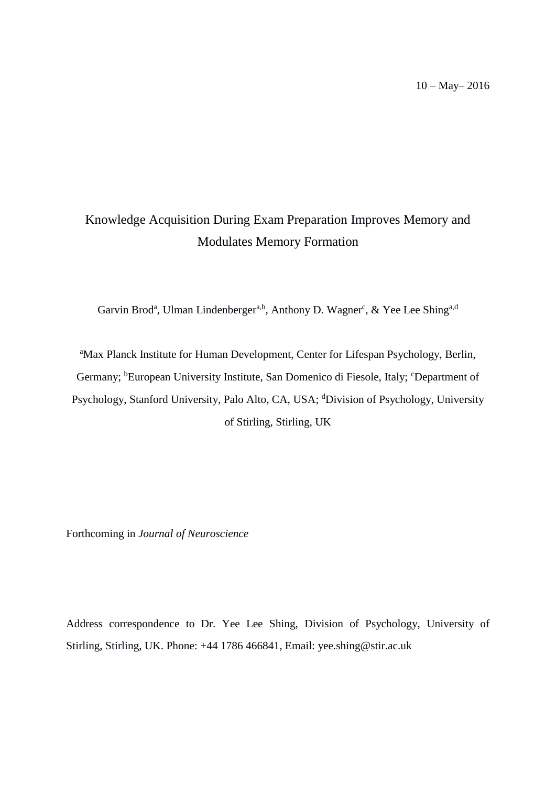# Knowledge Acquisition During Exam Preparation Improves Memory and Modulates Memory Formation

Garvin Brod<sup>a</sup>, Ulman Lindenberger<sup>a,b</sup>, Anthony D. Wagner<sup>c</sup>, & Yee Lee Shing<sup>a,d</sup>

<sup>a</sup>Max Planck Institute for Human Development, Center for Lifespan Psychology, Berlin, Germany; <sup>b</sup>European University Institute, San Domenico di Fiesole, Italy; <sup>c</sup>Department of Psychology, Stanford University, Palo Alto, CA, USA; <sup>d</sup>Division of Psychology, University of Stirling, Stirling, UK

Forthcoming in *Journal of Neuroscience*

Address correspondence to Dr. Yee Lee Shing, Division of Psychology, University of Stirling, Stirling, UK. Phone: +44 1786 466841, Email: yee.shing@stir.ac.uk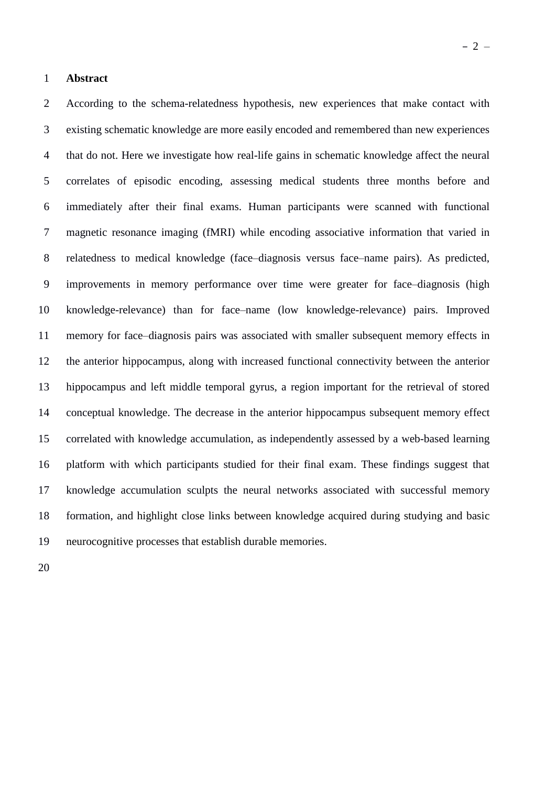According to the schema-relatedness hypothesis, new experiences that make contact with existing schematic knowledge are more easily encoded and remembered than new experiences that do not. Here we investigate how real-life gains in schematic knowledge affect the neural correlates of episodic encoding, assessing medical students three months before and immediately after their final exams. Human participants were scanned with functional magnetic resonance imaging (fMRI) while encoding associative information that varied in relatedness to medical knowledge (face–diagnosis versus face–name pairs). As predicted, improvements in memory performance over time were greater for face–diagnosis (high knowledge-relevance) than for face–name (low knowledge-relevance) pairs. Improved memory for face–diagnosis pairs was associated with smaller subsequent memory effects in the anterior hippocampus, along with increased functional connectivity between the anterior hippocampus and left middle temporal gyrus, a region important for the retrieval of stored conceptual knowledge. The decrease in the anterior hippocampus subsequent memory effect correlated with knowledge accumulation, as independently assessed by a web-based learning platform with which participants studied for their final exam. These findings suggest that knowledge accumulation sculpts the neural networks associated with successful memory formation, and highlight close links between knowledge acquired during studying and basic neurocognitive processes that establish durable memories.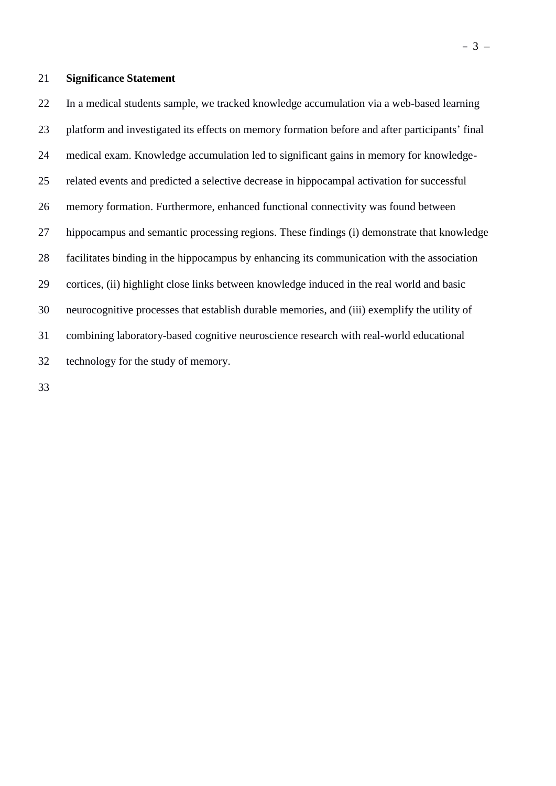# **Significance Statement**

 In a medical students sample, we tracked knowledge accumulation via a web-based learning platform and investigated its effects on memory formation before and after participants' final medical exam. Knowledge accumulation led to significant gains in memory for knowledge- related events and predicted a selective decrease in hippocampal activation for successful memory formation. Furthermore, enhanced functional connectivity was found between hippocampus and semantic processing regions. These findings (i) demonstrate that knowledge facilitates binding in the hippocampus by enhancing its communication with the association cortices, (ii) highlight close links between knowledge induced in the real world and basic neurocognitive processes that establish durable memories, and (iii) exemplify the utility of combining laboratory-based cognitive neuroscience research with real-world educational technology for the study of memory.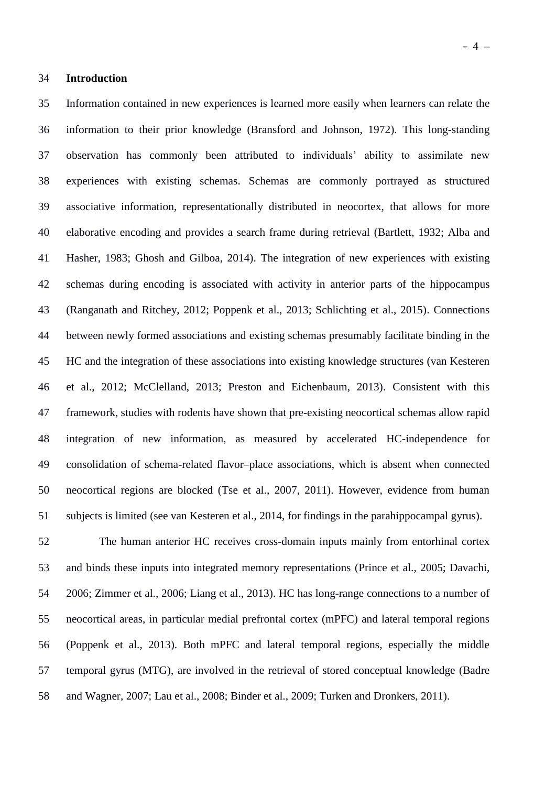Information contained in new experiences is learned more easily when learners can relate the information to their prior knowledge (Bransford and Johnson, 1972). This long-standing observation has commonly been attributed to individuals' ability to assimilate new experiences with existing schemas. Schemas are commonly portrayed as structured associative information, representationally distributed in neocortex, that allows for more elaborative encoding and provides a search frame during retrieval (Bartlett, 1932; Alba and Hasher, 1983; Ghosh and Gilboa, 2014). The integration of new experiences with existing schemas during encoding is associated with activity in anterior parts of the hippocampus (Ranganath and Ritchey, 2012; Poppenk et al., 2013; Schlichting et al., 2015). Connections between newly formed associations and existing schemas presumably facilitate binding in the HC and the integration of these associations into existing knowledge structures (van Kesteren et al., 2012; McClelland, 2013; Preston and Eichenbaum, 2013). Consistent with this framework, studies with rodents have shown that pre-existing neocortical schemas allow rapid integration of new information, as measured by accelerated HC-independence for consolidation of schema-related flavor–place associations, which is absent when connected neocortical regions are blocked (Tse et al., 2007, 2011). However, evidence from human subjects is limited (see van Kesteren et al., 2014, for findings in the parahippocampal gyrus).

 The human anterior HC receives cross-domain inputs mainly from entorhinal cortex and binds these inputs into integrated memory representations (Prince et al., 2005; Davachi, 2006; Zimmer et al., 2006; Liang et al., 2013). HC has long-range connections to a number of neocortical areas, in particular medial prefrontal cortex (mPFC) and lateral temporal regions (Poppenk et al., 2013). Both mPFC and lateral temporal regions, especially the middle temporal gyrus (MTG), are involved in the retrieval of stored conceptual knowledge (Badre and Wagner, 2007; Lau et al., 2008; Binder et al., 2009; Turken and Dronkers, 2011).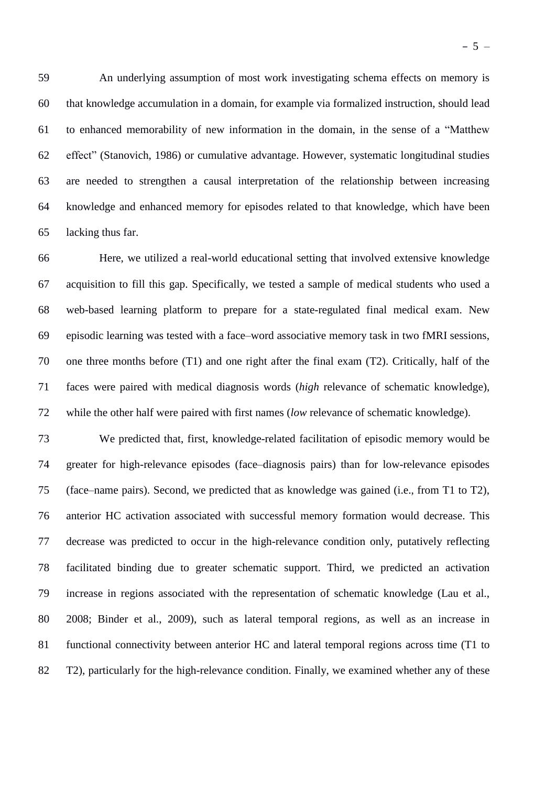An underlying assumption of most work investigating schema effects on memory is that knowledge accumulation in a domain, for example via formalized instruction, should lead to enhanced memorability of new information in the domain, in the sense of a "Matthew effect" (Stanovich, 1986) or cumulative advantage. However, systematic longitudinal studies are needed to strengthen a causal interpretation of the relationship between increasing knowledge and enhanced memory for episodes related to that knowledge, which have been lacking thus far.

 Here, we utilized a real-world educational setting that involved extensive knowledge acquisition to fill this gap. Specifically, we tested a sample of medical students who used a web-based learning platform to prepare for a state-regulated final medical exam. New episodic learning was tested with a face–word associative memory task in two fMRI sessions, one three months before (T1) and one right after the final exam (T2). Critically, half of the faces were paired with medical diagnosis words (*high* relevance of schematic knowledge), while the other half were paired with first names (*low* relevance of schematic knowledge).

 We predicted that, first, knowledge-related facilitation of episodic memory would be greater for high-relevance episodes (face–diagnosis pairs) than for low-relevance episodes (face–name pairs). Second, we predicted that as knowledge was gained (i.e., from T1 to T2), anterior HC activation associated with successful memory formation would decrease. This decrease was predicted to occur in the high-relevance condition only, putatively reflecting facilitated binding due to greater schematic support. Third, we predicted an activation increase in regions associated with the representation of schematic knowledge (Lau et al., 2008; Binder et al., 2009), such as lateral temporal regions, as well as an increase in functional connectivity between anterior HC and lateral temporal regions across time (T1 to T2), particularly for the high-relevance condition. Finally, we examined whether any of these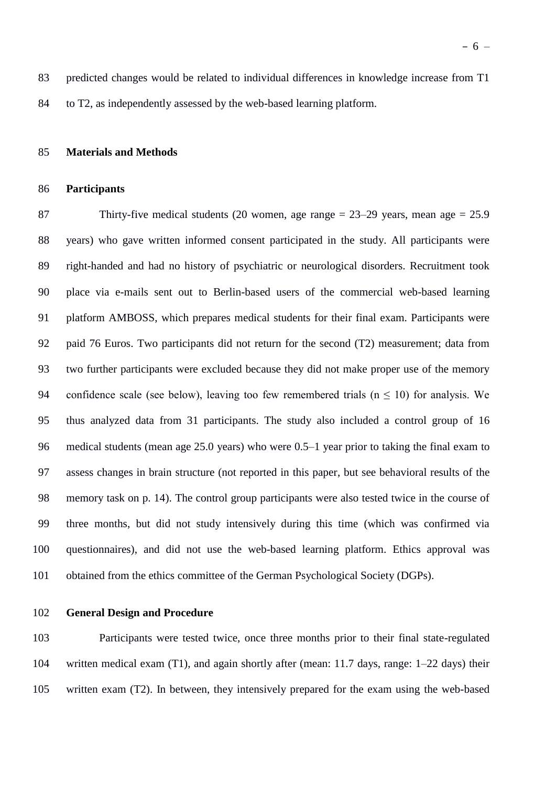predicted changes would be related to individual differences in knowledge increase from T1 to T2, as independently assessed by the web-based learning platform.

### **Materials and Methods**

### **Participants**

 Thirty-five medical students (20 women, age range = 23–29 years, mean age = 25.9 years) who gave written informed consent participated in the study. All participants were right-handed and had no history of psychiatric or neurological disorders. Recruitment took place via e-mails sent out to Berlin-based users of the commercial web-based learning platform AMBOSS, which prepares medical students for their final exam. Participants were paid 76 Euros. Two participants did not return for the second (T2) measurement; data from two further participants were excluded because they did not make proper use of the memory 94 confidence scale (see below), leaving too few remembered trials ( $n \le 10$ ) for analysis. We thus analyzed data from 31 participants. The study also included a control group of 16 medical students (mean age 25.0 years) who were 0.5–1 year prior to taking the final exam to assess changes in brain structure (not reported in this paper, but see behavioral results of the memory task on p. 14). The control group participants were also tested twice in the course of three months, but did not study intensively during this time (which was confirmed via questionnaires), and did not use the web-based learning platform. Ethics approval was obtained from the ethics committee of the German Psychological Society (DGPs).

### **General Design and Procedure**

 Participants were tested twice, once three months prior to their final state-regulated written medical exam (T1), and again shortly after (mean: 11.7 days, range: 1–22 days) their written exam (T2). In between, they intensively prepared for the exam using the web-based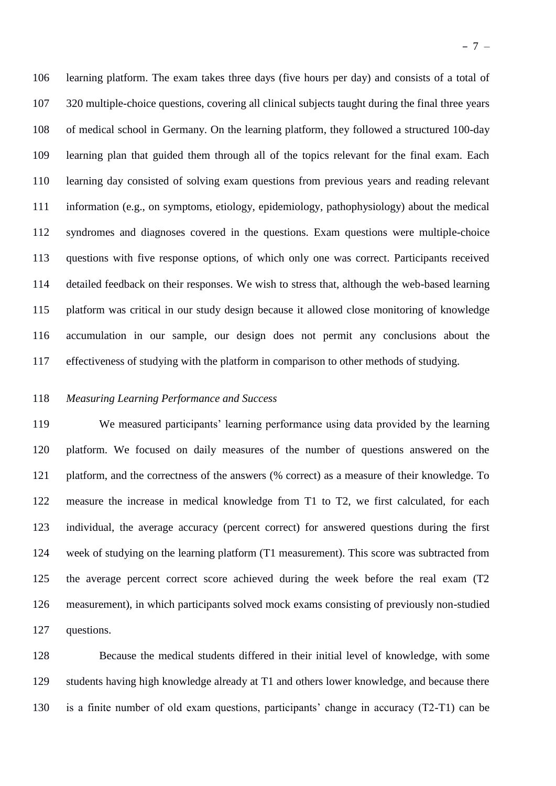learning platform. The exam takes three days (five hours per day) and consists of a total of 320 multiple-choice questions, covering all clinical subjects taught during the final three years of medical school in Germany. On the learning platform, they followed a structured 100-day learning plan that guided them through all of the topics relevant for the final exam. Each learning day consisted of solving exam questions from previous years and reading relevant information (e.g., on symptoms, etiology, epidemiology, pathophysiology) about the medical syndromes and diagnoses covered in the questions. Exam questions were multiple-choice questions with five response options, of which only one was correct. Participants received detailed feedback on their responses. We wish to stress that, although the web-based learning platform was critical in our study design because it allowed close monitoring of knowledge accumulation in our sample, our design does not permit any conclusions about the effectiveness of studying with the platform in comparison to other methods of studying.

## *Measuring Learning Performance and Success*

 We measured participants' learning performance using data provided by the learning platform. We focused on daily measures of the number of questions answered on the platform, and the correctness of the answers (% correct) as a measure of their knowledge. To measure the increase in medical knowledge from T1 to T2, we first calculated, for each individual, the average accuracy (percent correct) for answered questions during the first week of studying on the learning platform (T1 measurement). This score was subtracted from the average percent correct score achieved during the week before the real exam (T2 measurement), in which participants solved mock exams consisting of previously non-studied questions.

 Because the medical students differed in their initial level of knowledge, with some students having high knowledge already at T1 and others lower knowledge, and because there is a finite number of old exam questions, participants' change in accuracy (T2-T1) can be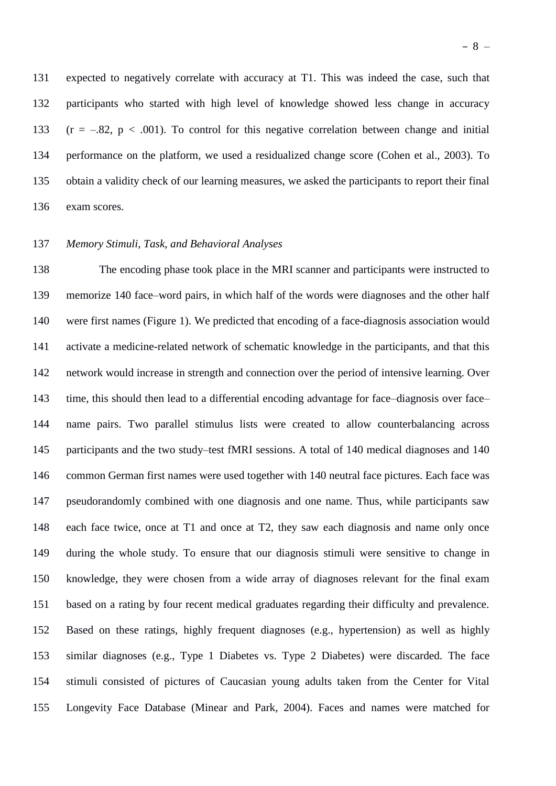expected to negatively correlate with accuracy at T1. This was indeed the case, such that participants who started with high level of knowledge showed less change in accuracy 133 ( $r = -.82$ ,  $p < .001$ ). To control for this negative correlation between change and initial performance on the platform, we used a residualized change score (Cohen et al., 2003). To obtain a validity check of our learning measures, we asked the participants to report their final exam scores.

# *Memory Stimuli, Task, and Behavioral Analyses*

 The encoding phase took place in the MRI scanner and participants were instructed to memorize 140 face–word pairs, in which half of the words were diagnoses and the other half were first names (Figure 1). We predicted that encoding of a face-diagnosis association would activate a medicine-related network of schematic knowledge in the participants, and that this network would increase in strength and connection over the period of intensive learning. Over time, this should then lead to a differential encoding advantage for face–diagnosis over face– name pairs. Two parallel stimulus lists were created to allow counterbalancing across participants and the two study–test fMRI sessions. A total of 140 medical diagnoses and 140 common German first names were used together with 140 neutral face pictures. Each face was pseudorandomly combined with one diagnosis and one name. Thus, while participants saw each face twice, once at T1 and once at T2, they saw each diagnosis and name only once during the whole study. To ensure that our diagnosis stimuli were sensitive to change in knowledge, they were chosen from a wide array of diagnoses relevant for the final exam based on a rating by four recent medical graduates regarding their difficulty and prevalence. Based on these ratings, highly frequent diagnoses (e.g., hypertension) as well as highly similar diagnoses (e.g., Type 1 Diabetes vs. Type 2 Diabetes) were discarded. The face stimuli consisted of pictures of Caucasian young adults taken from the Center for Vital Longevity Face Database (Minear and Park, 2004). Faces and names were matched for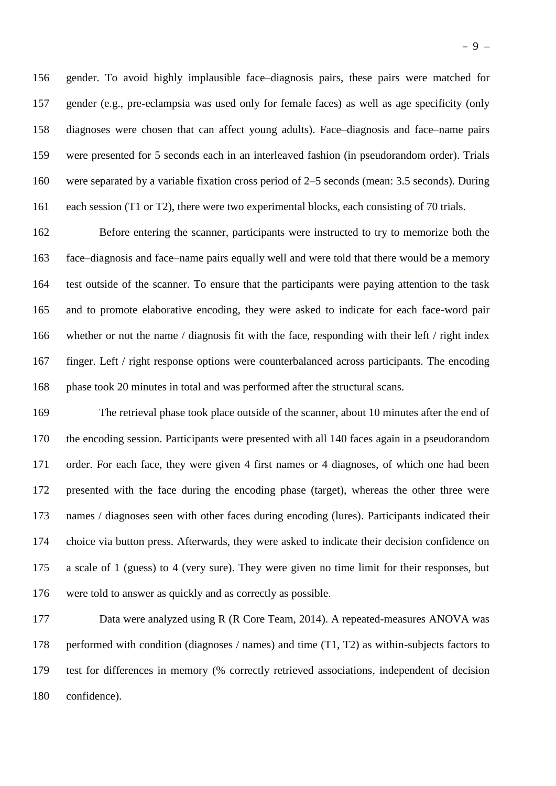gender. To avoid highly implausible face–diagnosis pairs, these pairs were matched for gender (e.g., pre-eclampsia was used only for female faces) as well as age specificity (only diagnoses were chosen that can affect young adults). Face–diagnosis and face–name pairs were presented for 5 seconds each in an interleaved fashion (in pseudorandom order). Trials were separated by a variable fixation cross period of 2–5 seconds (mean: 3.5 seconds). During each session (T1 or T2), there were two experimental blocks, each consisting of 70 trials.

 Before entering the scanner, participants were instructed to try to memorize both the face–diagnosis and face–name pairs equally well and were told that there would be a memory test outside of the scanner. To ensure that the participants were paying attention to the task and to promote elaborative encoding, they were asked to indicate for each face-word pair whether or not the name / diagnosis fit with the face, responding with their left / right index finger. Left / right response options were counterbalanced across participants. The encoding phase took 20 minutes in total and was performed after the structural scans.

 The retrieval phase took place outside of the scanner, about 10 minutes after the end of the encoding session. Participants were presented with all 140 faces again in a pseudorandom order. For each face, they were given 4 first names or 4 diagnoses, of which one had been presented with the face during the encoding phase (target), whereas the other three were names / diagnoses seen with other faces during encoding (lures). Participants indicated their choice via button press. Afterwards, they were asked to indicate their decision confidence on a scale of 1 (guess) to 4 (very sure). They were given no time limit for their responses, but were told to answer as quickly and as correctly as possible.

 Data were analyzed using R (R Core Team, 2014). A repeated-measures ANOVA was performed with condition (diagnoses / names) and time (T1, T2) as within-subjects factors to test for differences in memory (% correctly retrieved associations, independent of decision confidence).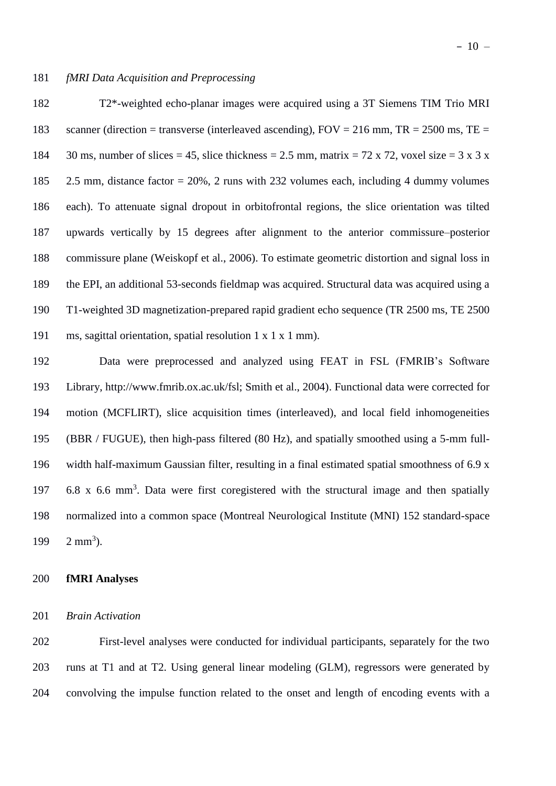T2\*-weighted echo-planar images were acquired using a 3T Siemens TIM Trio MRI 183 scanner (direction = transverse (interleaved ascending),  $FOV = 216$  mm,  $TR = 2500$  ms,  $TE =$ 184 30 ms, number of slices = 45, slice thickness = 2.5 mm, matrix = 72 x 72, voxel size = 3 x 3 x 2.5 mm, distance factor = 20%, 2 runs with 232 volumes each, including 4 dummy volumes each). To attenuate signal dropout in orbitofrontal regions, the slice orientation was tilted upwards vertically by 15 degrees after alignment to the anterior commissure–posterior commissure plane (Weiskopf et al., 2006). To estimate geometric distortion and signal loss in the EPI, an additional 53-seconds fieldmap was acquired. Structural data was acquired using a T1-weighted 3D magnetization-prepared rapid gradient echo sequence (TR 2500 ms, TE 2500 ms, sagittal orientation, spatial resolution 1 x 1 x 1 mm).

 Data were preprocessed and analyzed using FEAT in FSL (FMRIB's Software Library, http://www.fmrib.ox.ac.uk/fsl; Smith et al., 2004). Functional data were corrected for motion (MCFLIRT), slice acquisition times (interleaved), and local field inhomogeneities (BBR / FUGUE), then high-pass filtered (80 Hz), and spatially smoothed using a 5-mm full- width half-maximum Gaussian filter, resulting in a final estimated spatial smoothness of 6.9 x 197 6.8 x 6.6 mm<sup>3</sup>. Data were first coregistered with the structural image and then spatially normalized into a common space (Montreal Neurological Institute (MNI) 152 standard-space  $2 \text{ mm}^3$ ).

# **fMRI Analyses**

### *Brain Activation*

 First-level analyses were conducted for individual participants, separately for the two runs at T1 and at T2. Using general linear modeling (GLM), regressors were generated by convolving the impulse function related to the onset and length of encoding events with a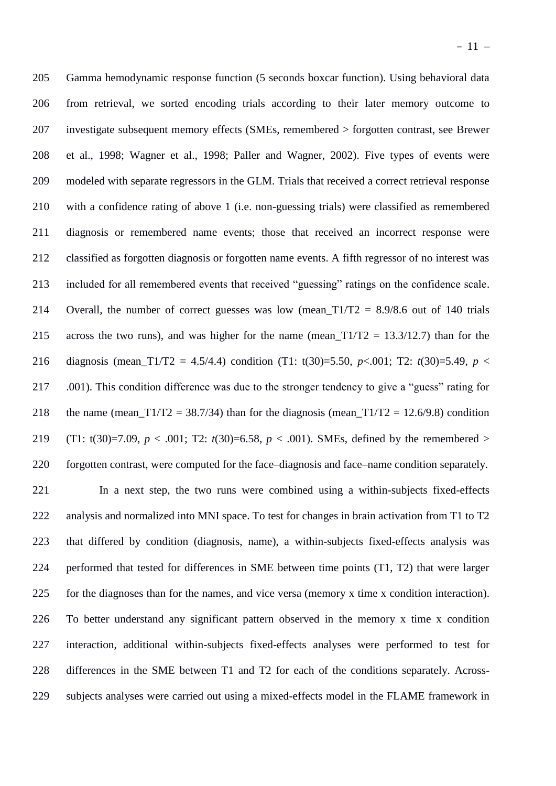Gamma hemodynamic response function (5 seconds boxcar function). Using behavioral data from retrieval, we sorted encoding trials according to their later memory outcome to investigate subsequent memory effects (SMEs, remembered > forgotten contrast, see Brewer et al., 1998; Wagner et al., 1998; Paller and Wagner, 2002). Five types of events were modeled with separate regressors in the GLM. Trials that received a correct retrieval response with a confidence rating of above 1 (i.e. non-guessing trials) were classified as remembered diagnosis or remembered name events; those that received an incorrect response were classified as forgotten diagnosis or forgotten name events. A fifth regressor of no interest was included for all remembered events that received "guessing" ratings on the confidence scale. 214 Overall, the number of correct guesses was low (mean\_ $T1/T2 = 8.9/8.6$  out of 140 trials 215 across the two runs), and was higher for the name (mean\_T1/T2 = 13.3/12.7) than for the 216 diagnosis (mean  $T1/T2 = 4.5/4.4$ ) condition (T1: t(30)=5.50, *p*<.001; T2: *t*(30)=5.49, *p* < .001). This condition difference was due to the stronger tendency to give a "guess" rating for 218 the name (mean\_T1/T2 = 38.7/34) than for the diagnosis (mean\_T1/T2 = 12.6/9.8) condition (T1: t(30)=7.09, *p* < .001; T2: *t*(30)=6.58, *p* < .001). SMEs, defined by the remembered > forgotten contrast, were computed for the face–diagnosis and face–name condition separately.

 In a next step, the two runs were combined using a within-subjects fixed-effects analysis and normalized into MNI space. To test for changes in brain activation from T1 to T2 that differed by condition (diagnosis, name), a within-subjects fixed-effects analysis was performed that tested for differences in SME between time points (T1, T2) that were larger for the diagnoses than for the names, and vice versa (memory x time x condition interaction). To better understand any significant pattern observed in the memory x time x condition interaction, additional within-subjects fixed-effects analyses were performed to test for differences in the SME between T1 and T2 for each of the conditions separately. Across-subjects analyses were carried out using a mixed-effects model in the FLAME framework in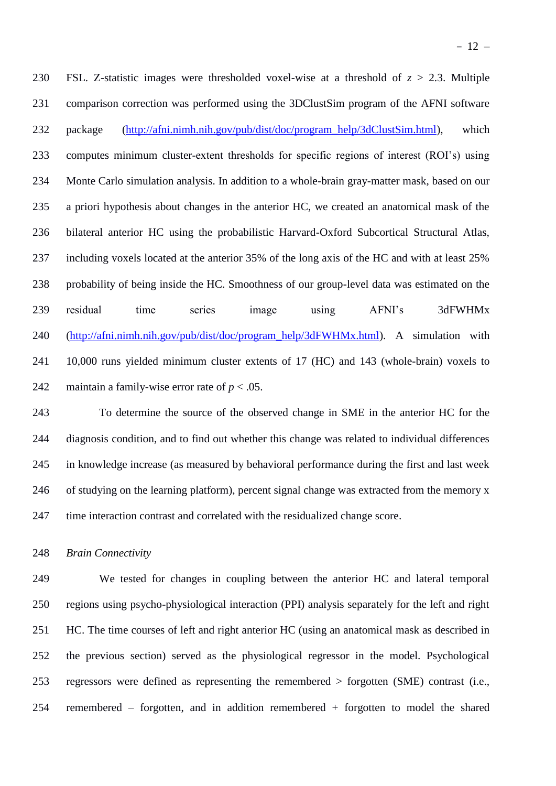FSL. Z-statistic images were thresholded voxel-wise at a threshold of *z* > 2.3. Multiple comparison correction was performed using the 3DClustSim program of the AFNI software package [\(http://afni.nimh.nih.gov/pub/dist/doc/program\\_help/3dClustSim.html\)](http://afni.nimh.nih.gov/pub/dist/doc/program_help/3dClustSim.html), which computes minimum cluster-extent thresholds for specific regions of interest (ROI's) using Monte Carlo simulation analysis. In addition to a whole-brain gray-matter mask, based on our a priori hypothesis about changes in the anterior HC, we created an anatomical mask of the bilateral anterior HC using the probabilistic Harvard-Oxford Subcortical Structural Atlas, including voxels located at the anterior 35% of the long axis of the HC and with at least 25% probability of being inside the HC. Smoothness of our group-level data was estimated on the residual time series image using AFNI's 3dFWHMx [\(http://afni.nimh.nih.gov/pub/dist/doc/program\\_help/3dFWHMx.html\)](http://afni.nimh.nih.gov/pub/dist/doc/program_help/3dFWHMx.html). A simulation with 10,000 runs yielded minimum cluster extents of 17 (HC) and 143 (whole-brain) voxels to 242 maintain a family-wise error rate of  $p < .05$ .

 To determine the source of the observed change in SME in the anterior HC for the diagnosis condition, and to find out whether this change was related to individual differences in knowledge increase (as measured by behavioral performance during the first and last week of studying on the learning platform), percent signal change was extracted from the memory x time interaction contrast and correlated with the residualized change score.

### *Brain Connectivity*

 We tested for changes in coupling between the anterior HC and lateral temporal regions using psycho-physiological interaction (PPI) analysis separately for the left and right HC. The time courses of left and right anterior HC (using an anatomical mask as described in the previous section) served as the physiological regressor in the model. Psychological regressors were defined as representing the remembered > forgotten (SME) contrast (i.e., remembered – forgotten, and in addition remembered + forgotten to model the shared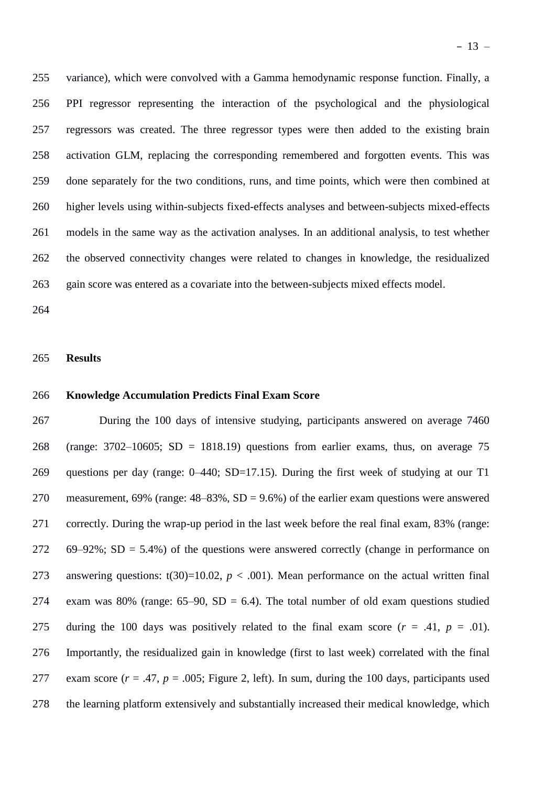variance), which were convolved with a Gamma hemodynamic response function. Finally, a PPI regressor representing the interaction of the psychological and the physiological regressors was created. The three regressor types were then added to the existing brain activation GLM, replacing the corresponding remembered and forgotten events. This was done separately for the two conditions, runs, and time points, which were then combined at higher levels using within-subjects fixed-effects analyses and between-subjects mixed-effects models in the same way as the activation analyses. In an additional analysis, to test whether the observed connectivity changes were related to changes in knowledge, the residualized gain score was entered as a covariate into the between-subjects mixed effects model.

### **Results**

# **Knowledge Accumulation Predicts Final Exam Score**

 During the 100 days of intensive studying, participants answered on average 7460 (range: 3702–10605; SD = 1818.19) questions from earlier exams, thus, on average 75 questions per day (range: 0–440; SD=17.15). During the first week of studying at our T1 270 measurement, 69% (range:  $48-83\%$ , SD = 9.6%) of the earlier exam questions were answered correctly. During the wrap-up period in the last week before the real final exam, 83% (range: 272 69–92%; SD = 5.4%) of the questions were answered correctly (change in performance on 273 answering questions:  $t(30)=10.02$ ,  $p < .001$ ). Mean performance on the actual written final 274 exam was 80% (range:  $65-90$ ,  $SD = 6.4$ ). The total number of old exam questions studied 275 during the 100 days was positively related to the final exam score  $(r = .41, p = .01)$ . Importantly, the residualized gain in knowledge (first to last week) correlated with the final 277 exam score  $(r = .47, p = .005;$  Figure 2, left). In sum, during the 100 days, participants used the learning platform extensively and substantially increased their medical knowledge, which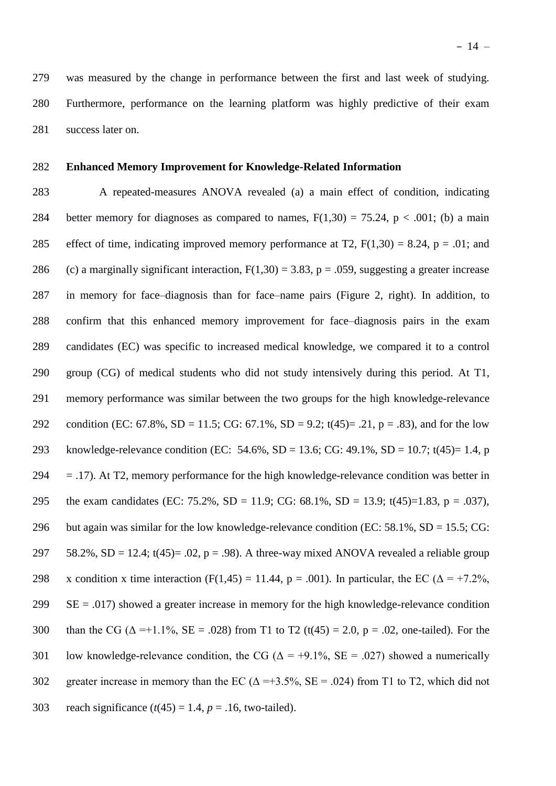279 was measured by the change in performance between the first and last week of studying. 280 Furthermore, performance on the learning platform was highly predictive of their exam 281 success later on.

# 282 **Enhanced Memory Improvement for Knowledge-Related Information**

283 A repeated-measures ANOVA revealed (a) a main effect of condition, indicating 284 better memory for diagnoses as compared to names,  $F(1,30) = 75.24$ ,  $p < .001$ ; (b) a main 285 effect of time, indicating improved memory performance at T2,  $F(1,30) = 8.24$ ,  $p = .01$ ; and 286 (c) a marginally significant interaction,  $F(1,30) = 3.83$ ,  $p = .059$ , suggesting a greater increase 287 in memory for face–diagnosis than for face–name pairs (Figure 2, right). In addition, to 288 confirm that this enhanced memory improvement for face–diagnosis pairs in the exam 289 candidates (EC) was specific to increased medical knowledge, we compared it to a control 290 group (CG) of medical students who did not study intensively during this period. At T1, 291 memory performance was similar between the two groups for the high knowledge-relevance 292 condition (EC: 67.8%, SD = 11.5; CG: 67.1%, SD = 9.2; t(45)= .21, p = .83), and for the low 293 knowledge-relevance condition (EC: 54.6%, SD = 13.6; CG: 49.1%, SD = 10.7; t(45)= 1.4, p 294  $=$  .17). At T2, memory performance for the high knowledge-relevance condition was better in 295 the exam candidates (EC: 75.2%, SD = 11.9; CG: 68.1%, SD = 13.9; t(45)=1.83, p = .037), 296 but again was similar for the low knowledge-relevance condition (EC:  $58.1\%$ , SD = 15.5; CG: 297 58.2%, SD = 12.4;  $t(45)$ = .02, p = .98). A three-way mixed ANOVA revealed a reliable group 298 x condition x time interaction (F(1,45) = 11.44, p = .001). In particular, the EC ( $\Delta$  = +7.2%,  $299$  SE = .017) showed a greater increase in memory for the high knowledge-relevance condition 300 than the CG ( $\Delta = +1.1\%$ , SE = .028) from T1 to T2 (t(45) = 2.0, p = .02, one-tailed). For the 301 low knowledge-relevance condition, the CG ( $\Delta$  = +9.1%, SE = .027) showed a numerically 302 greater increase in memory than the EC ( $\Delta = +3.5\%$ , SE = .024) from T1 to T2, which did not 303 reach significance  $(t(45) = 1.4, p = .16,$  two-tailed).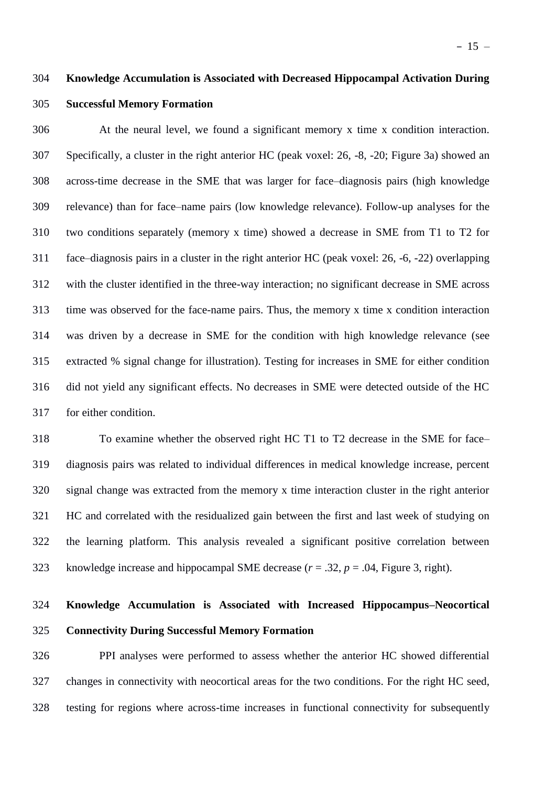### **Knowledge Accumulation is Associated with Decreased Hippocampal Activation During**

# **Successful Memory Formation**

 At the neural level, we found a significant memory x time x condition interaction. Specifically, a cluster in the right anterior HC (peak voxel: 26, -8, -20; Figure 3a) showed an across-time decrease in the SME that was larger for face–diagnosis pairs (high knowledge relevance) than for face–name pairs (low knowledge relevance). Follow-up analyses for the two conditions separately (memory x time) showed a decrease in SME from T1 to T2 for face–diagnosis pairs in a cluster in the right anterior HC (peak voxel: 26, -6, -22) overlapping with the cluster identified in the three-way interaction; no significant decrease in SME across time was observed for the face-name pairs. Thus, the memory x time x condition interaction was driven by a decrease in SME for the condition with high knowledge relevance (see extracted % signal change for illustration). Testing for increases in SME for either condition did not yield any significant effects. No decreases in SME were detected outside of the HC for either condition.

 To examine whether the observed right HC T1 to T2 decrease in the SME for face– diagnosis pairs was related to individual differences in medical knowledge increase, percent signal change was extracted from the memory x time interaction cluster in the right anterior HC and correlated with the residualized gain between the first and last week of studying on the learning platform. This analysis revealed a significant positive correlation between knowledge increase and hippocampal SME decrease (*r* = .32, *p* = .04, Figure 3, right).

# **Knowledge Accumulation is Associated with Increased Hippocampus–Neocortical Connectivity During Successful Memory Formation**

 PPI analyses were performed to assess whether the anterior HC showed differential changes in connectivity with neocortical areas for the two conditions. For the right HC seed, testing for regions where across-time increases in functional connectivity for subsequently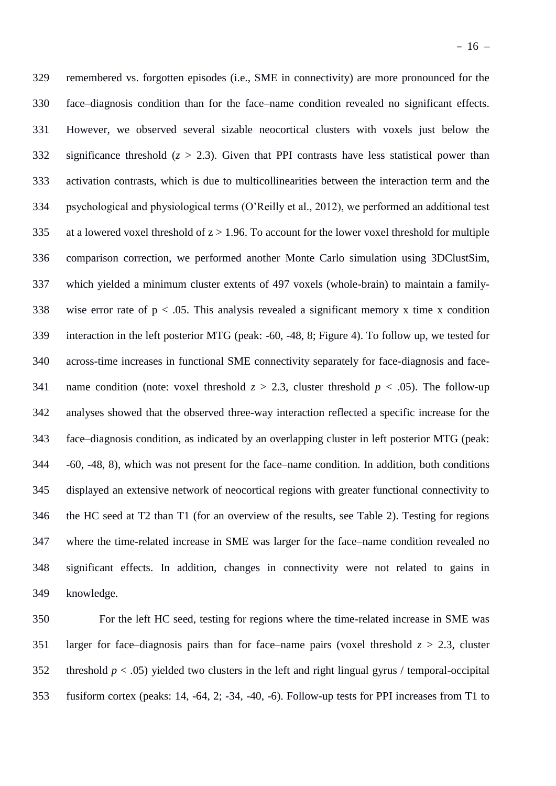remembered vs. forgotten episodes (i.e., SME in connectivity) are more pronounced for the face–diagnosis condition than for the face–name condition revealed no significant effects. However, we observed several sizable neocortical clusters with voxels just below the 332 significance threshold  $(z > 2.3)$ . Given that PPI contrasts have less statistical power than activation contrasts, which is due to multicollinearities between the interaction term and the psychological and physiological terms (O'Reilly et al., 2012), we performed an additional test 335 at a lowered voxel threshold of  $z > 1.96$ . To account for the lower voxel threshold for multiple comparison correction, we performed another Monte Carlo simulation using 3DClustSim, which yielded a minimum cluster extents of 497 voxels (whole-brain) to maintain a family-338 wise error rate of  $p < 0.05$ . This analysis revealed a significant memory x time x condition interaction in the left posterior MTG (peak: -60, -48, 8; Figure 4). To follow up, we tested for across-time increases in functional SME connectivity separately for face-diagnosis and face-341 name condition (note: voxel threshold  $z > 2.3$ , cluster threshold  $p < .05$ ). The follow-up analyses showed that the observed three-way interaction reflected a specific increase for the face–diagnosis condition, as indicated by an overlapping cluster in left posterior MTG (peak: -60, -48, 8), which was not present for the face–name condition. In addition, both conditions displayed an extensive network of neocortical regions with greater functional connectivity to the HC seed at T2 than T1 (for an overview of the results, see Table 2). Testing for regions where the time-related increase in SME was larger for the face–name condition revealed no significant effects. In addition, changes in connectivity were not related to gains in knowledge.

 For the left HC seed, testing for regions where the time-related increase in SME was 351 larger for face–diagnosis pairs than for face–name pairs (voxel threshold  $z > 2.3$ , cluster 352 threshold  $p < .05$ ) yielded two clusters in the left and right lingual gyrus / temporal-occipital fusiform cortex (peaks: 14, -64, 2; -34, -40, -6). Follow-up tests for PPI increases from T1 to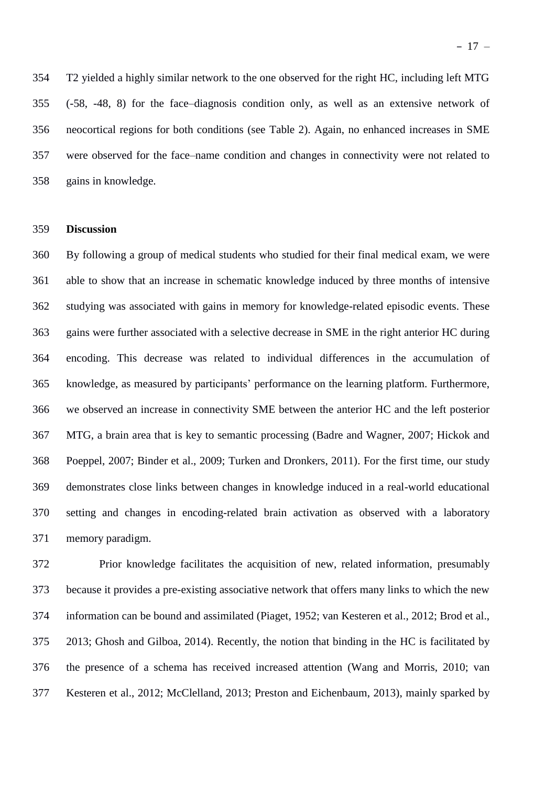T2 yielded a highly similar network to the one observed for the right HC, including left MTG (-58, -48, 8) for the face–diagnosis condition only, as well as an extensive network of neocortical regions for both conditions (see Table 2). Again, no enhanced increases in SME were observed for the face–name condition and changes in connectivity were not related to gains in knowledge.

## **Discussion**

 By following a group of medical students who studied for their final medical exam, we were able to show that an increase in schematic knowledge induced by three months of intensive studying was associated with gains in memory for knowledge-related episodic events. These gains were further associated with a selective decrease in SME in the right anterior HC during encoding. This decrease was related to individual differences in the accumulation of knowledge, as measured by participants' performance on the learning platform. Furthermore, we observed an increase in connectivity SME between the anterior HC and the left posterior MTG, a brain area that is key to semantic processing (Badre and Wagner, 2007; Hickok and Poeppel, 2007; Binder et al., 2009; Turken and Dronkers, 2011). For the first time, our study demonstrates close links between changes in knowledge induced in a real-world educational setting and changes in encoding-related brain activation as observed with a laboratory memory paradigm.

 Prior knowledge facilitates the acquisition of new, related information, presumably because it provides a pre-existing associative network that offers many links to which the new information can be bound and assimilated (Piaget, 1952; van Kesteren et al., 2012; Brod et al., 2013; Ghosh and Gilboa, 2014). Recently, the notion that binding in the HC is facilitated by the presence of a schema has received increased attention (Wang and Morris, 2010; van Kesteren et al., 2012; McClelland, 2013; Preston and Eichenbaum, 2013), mainly sparked by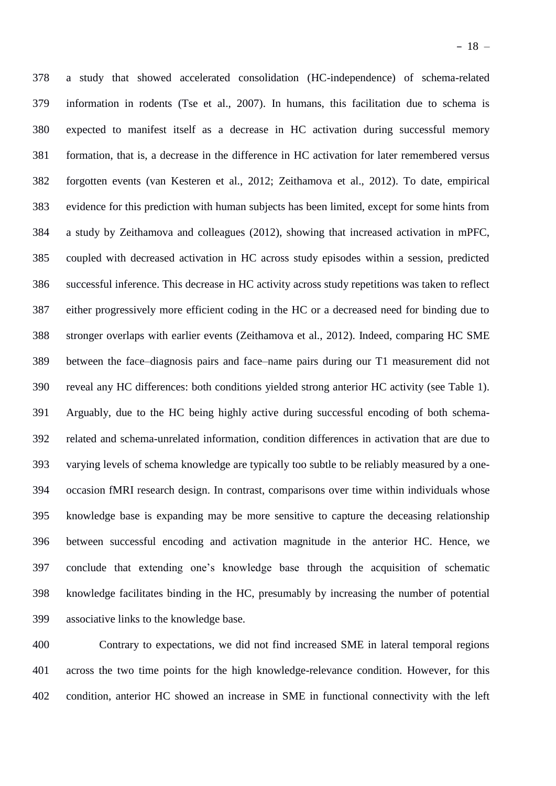a study that showed accelerated consolidation (HC-independence) of schema-related information in rodents (Tse et al., 2007). In humans, this facilitation due to schema is expected to manifest itself as a decrease in HC activation during successful memory formation, that is, a decrease in the difference in HC activation for later remembered versus forgotten events (van Kesteren et al., 2012; Zeithamova et al., 2012). To date, empirical evidence for this prediction with human subjects has been limited, except for some hints from a study by Zeithamova and colleagues (2012), showing that increased activation in mPFC, coupled with decreased activation in HC across study episodes within a session, predicted successful inference. This decrease in HC activity across study repetitions was taken to reflect either progressively more efficient coding in the HC or a decreased need for binding due to stronger overlaps with earlier events (Zeithamova et al., 2012). Indeed, comparing HC SME between the face–diagnosis pairs and face–name pairs during our T1 measurement did not reveal any HC differences: both conditions yielded strong anterior HC activity (see Table 1). Arguably, due to the HC being highly active during successful encoding of both schema- related and schema-unrelated information, condition differences in activation that are due to varying levels of schema knowledge are typically too subtle to be reliably measured by a one- occasion fMRI research design. In contrast, comparisons over time within individuals whose knowledge base is expanding may be more sensitive to capture the deceasing relationship between successful encoding and activation magnitude in the anterior HC. Hence, we conclude that extending one's knowledge base through the acquisition of schematic knowledge facilitates binding in the HC, presumably by increasing the number of potential associative links to the knowledge base.

 Contrary to expectations, we did not find increased SME in lateral temporal regions across the two time points for the high knowledge-relevance condition. However, for this condition, anterior HC showed an increase in SME in functional connectivity with the left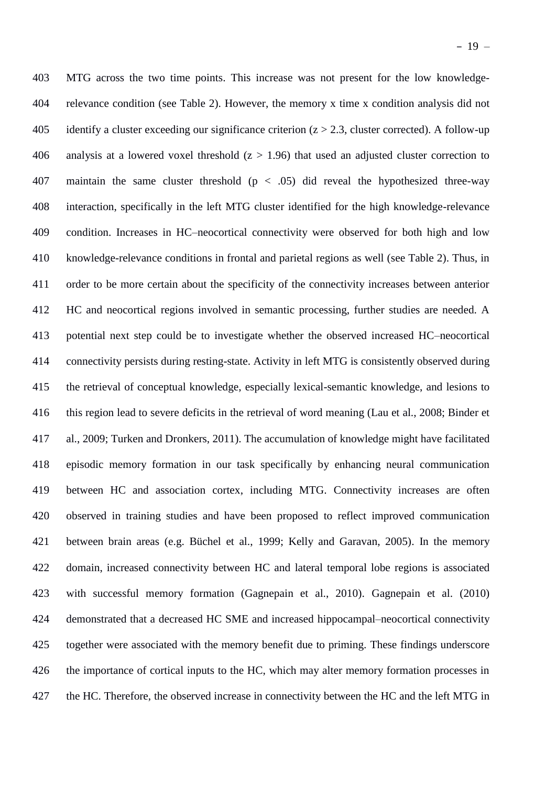MTG across the two time points. This increase was not present for the low knowledge- relevance condition (see Table 2). However, the memory x time x condition analysis did not 405 identify a cluster exceeding our significance criterion  $(z > 2.3$ , cluster corrected). A follow-up 406 analysis at a lowered voxel threshold  $(z > 1.96)$  that used an adjusted cluster correction to 407 maintain the same cluster threshold  $(p < .05)$  did reveal the hypothesized three-way interaction, specifically in the left MTG cluster identified for the high knowledge-relevance condition. Increases in HC–neocortical connectivity were observed for both high and low knowledge-relevance conditions in frontal and parietal regions as well (see Table 2). Thus, in order to be more certain about the specificity of the connectivity increases between anterior HC and neocortical regions involved in semantic processing, further studies are needed. A potential next step could be to investigate whether the observed increased HC–neocortical connectivity persists during resting-state. Activity in left MTG is consistently observed during the retrieval of conceptual knowledge, especially lexical-semantic knowledge, and lesions to this region lead to severe deficits in the retrieval of word meaning (Lau et al., 2008; Binder et al., 2009; Turken and Dronkers, 2011). The accumulation of knowledge might have facilitated episodic memory formation in our task specifically by enhancing neural communication between HC and association cortex, including MTG. Connectivity increases are often observed in training studies and have been proposed to reflect improved communication between brain areas (e.g. Büchel et al., 1999; Kelly and Garavan, 2005). In the memory domain, increased connectivity between HC and lateral temporal lobe regions is associated with successful memory formation (Gagnepain et al., 2010). Gagnepain et al. (2010) demonstrated that a decreased HC SME and increased hippocampal–neocortical connectivity together were associated with the memory benefit due to priming. These findings underscore the importance of cortical inputs to the HC, which may alter memory formation processes in 427 the HC. Therefore, the observed increase in connectivity between the HC and the left MTG in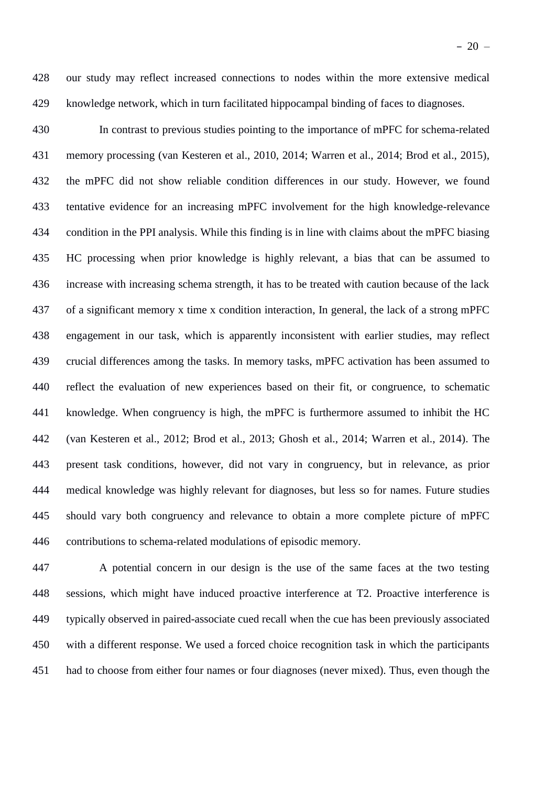our study may reflect increased connections to nodes within the more extensive medical knowledge network, which in turn facilitated hippocampal binding of faces to diagnoses.

 In contrast to previous studies pointing to the importance of mPFC for schema-related memory processing (van Kesteren et al., 2010, 2014; Warren et al., 2014; Brod et al., 2015), the mPFC did not show reliable condition differences in our study. However, we found tentative evidence for an increasing mPFC involvement for the high knowledge-relevance condition in the PPI analysis. While this finding is in line with claims about the mPFC biasing HC processing when prior knowledge is highly relevant, a bias that can be assumed to increase with increasing schema strength, it has to be treated with caution because of the lack of a significant memory x time x condition interaction, In general, the lack of a strong mPFC engagement in our task, which is apparently inconsistent with earlier studies, may reflect crucial differences among the tasks. In memory tasks, mPFC activation has been assumed to reflect the evaluation of new experiences based on their fit, or congruence, to schematic knowledge. When congruency is high, the mPFC is furthermore assumed to inhibit the HC (van Kesteren et al., 2012; Brod et al., 2013; Ghosh et al., 2014; Warren et al., 2014). The present task conditions, however, did not vary in congruency, but in relevance, as prior medical knowledge was highly relevant for diagnoses, but less so for names. Future studies should vary both congruency and relevance to obtain a more complete picture of mPFC contributions to schema-related modulations of episodic memory.

 A potential concern in our design is the use of the same faces at the two testing sessions, which might have induced proactive interference at T2. Proactive interference is typically observed in paired-associate cued recall when the cue has been previously associated with a different response. We used a forced choice recognition task in which the participants had to choose from either four names or four diagnoses (never mixed). Thus, even though the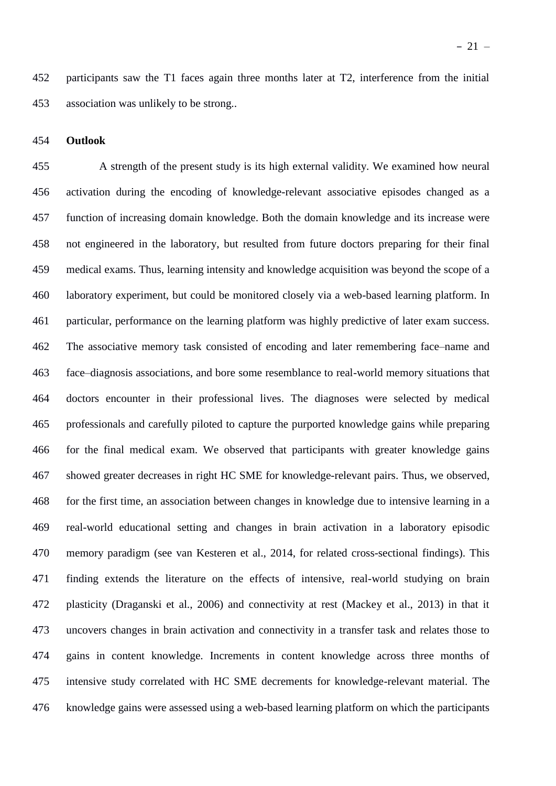participants saw the T1 faces again three months later at T2, interference from the initial association was unlikely to be strong..

### **Outlook**

 A strength of the present study is its high external validity. We examined how neural activation during the encoding of knowledge-relevant associative episodes changed as a function of increasing domain knowledge. Both the domain knowledge and its increase were not engineered in the laboratory, but resulted from future doctors preparing for their final medical exams. Thus, learning intensity and knowledge acquisition was beyond the scope of a laboratory experiment, but could be monitored closely via a web-based learning platform. In particular, performance on the learning platform was highly predictive of later exam success. The associative memory task consisted of encoding and later remembering face–name and face–diagnosis associations, and bore some resemblance to real-world memory situations that doctors encounter in their professional lives. The diagnoses were selected by medical professionals and carefully piloted to capture the purported knowledge gains while preparing for the final medical exam. We observed that participants with greater knowledge gains showed greater decreases in right HC SME for knowledge-relevant pairs. Thus, we observed, for the first time, an association between changes in knowledge due to intensive learning in a real-world educational setting and changes in brain activation in a laboratory episodic memory paradigm (see van Kesteren et al., 2014, for related cross-sectional findings). This finding extends the literature on the effects of intensive, real-world studying on brain plasticity (Draganski et al., 2006) and connectivity at rest (Mackey et al., 2013) in that it uncovers changes in brain activation and connectivity in a transfer task and relates those to gains in content knowledge. Increments in content knowledge across three months of intensive study correlated with HC SME decrements for knowledge-relevant material. The knowledge gains were assessed using a web-based learning platform on which the participants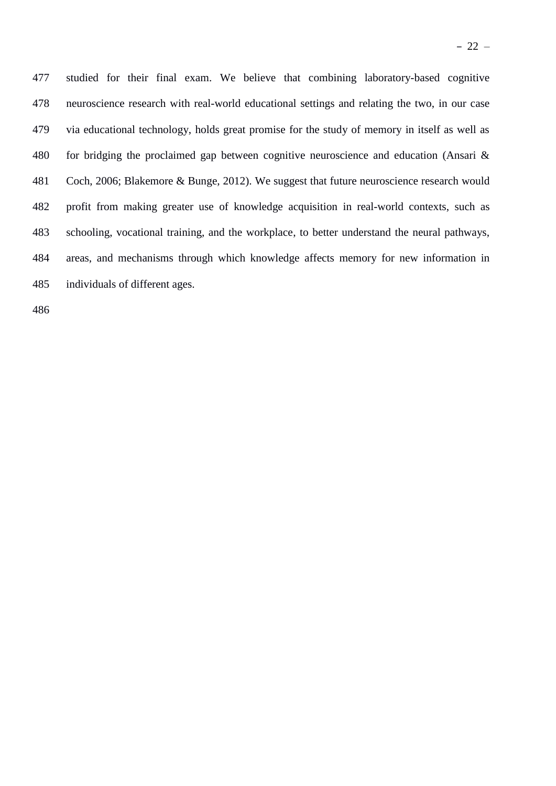studied for their final exam. We believe that combining laboratory-based cognitive neuroscience research with real-world educational settings and relating the two, in our case via educational technology, holds great promise for the study of memory in itself as well as for bridging the proclaimed gap between cognitive neuroscience and education (Ansari & Coch, 2006; Blakemore & Bunge, 2012). We suggest that future neuroscience research would profit from making greater use of knowledge acquisition in real-world contexts, such as schooling, vocational training, and the workplace, to better understand the neural pathways, areas, and mechanisms through which knowledge affects memory for new information in individuals of different ages.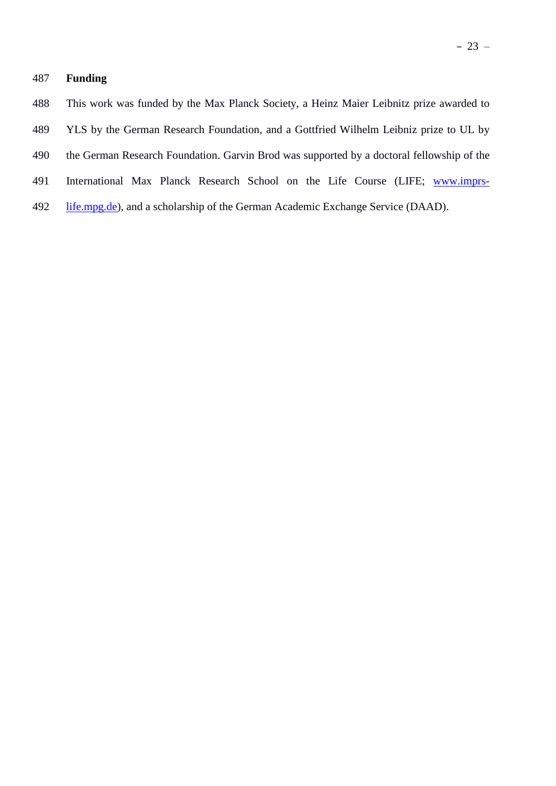# **Funding**

- YLS by the German Research Foundation, and a Gottfried Wilhelm Leibniz prize to UL by
- the German Research Foundation. Garvin Brod was supported by a doctoral fellowship of the
- International Max Planck Research School on the Life Course (LIFE; [www.imprs-](http://www.imprs-life.mpg.de/)
- [life.mpg.de\)](http://www.imprs-life.mpg.de/), and a scholarship of the German Academic Exchange Service (DAAD).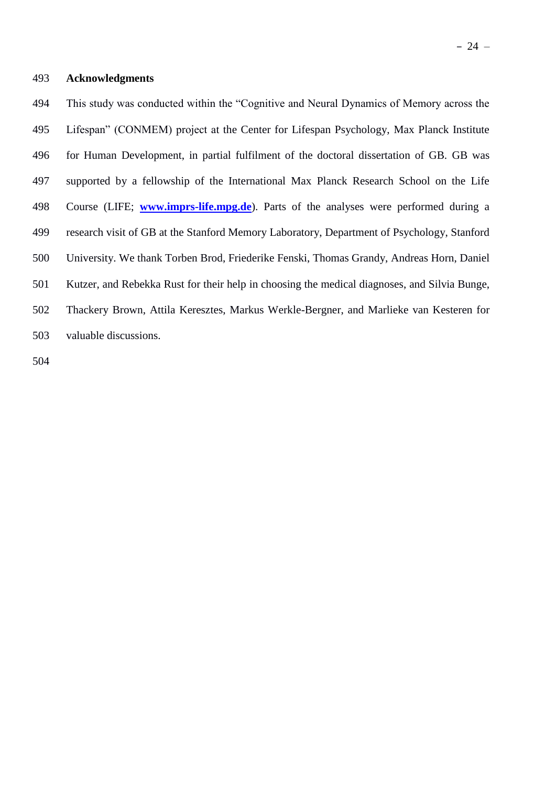# **Acknowledgments**

 This study was conducted within the "Cognitive and Neural Dynamics of Memory across the Lifespan" (CONMEM) project at the Center for Lifespan Psychology, Max Planck Institute for Human Development, in partial fulfilment of the doctoral dissertation of GB. GB was supported by a fellowship of the International Max Planck Research School on the Life Course (LIFE; **[www.imprs-life.mpg.de](http://www.imprs-life.mpg.de/)**). Parts of the analyses were performed during a research visit of GB at the Stanford Memory Laboratory, Department of Psychology, Stanford University. We thank Torben Brod, Friederike Fenski, Thomas Grandy, Andreas Horn, Daniel Kutzer, and Rebekka Rust for their help in choosing the medical diagnoses, and Silvia Bunge, Thackery Brown, Attila Keresztes, Markus Werkle-Bergner, and Marlieke van Kesteren for valuable discussions.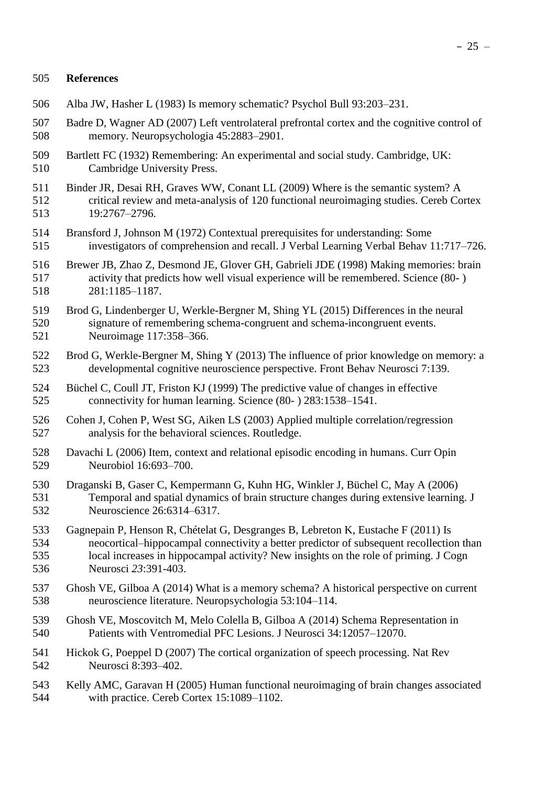# **References**

- Alba JW, Hasher L (1983) Is memory schematic? Psychol Bull 93:203–231.
- Badre D, Wagner AD (2007) Left ventrolateral prefrontal cortex and the cognitive control of memory. Neuropsychologia 45:2883–2901.
- Bartlett FC (1932) Remembering: An experimental and social study. Cambridge, UK: Cambridge University Press.
- Binder JR, Desai RH, Graves WW, Conant LL (2009) Where is the semantic system? A critical review and meta-analysis of 120 functional neuroimaging studies. Cereb Cortex 19:2767–2796.
- Bransford J, Johnson M (1972) Contextual prerequisites for understanding: Some investigators of comprehension and recall. J Verbal Learning Verbal Behav 11:717–726.
- Brewer JB, Zhao Z, Desmond JE, Glover GH, Gabrieli JDE (1998) Making memories: brain activity that predicts how well visual experience will be remembered. Science (80- ) 281:1185–1187.
- Brod G, Lindenberger U, Werkle-Bergner M, Shing YL (2015) Differences in the neural signature of remembering schema-congruent and schema-incongruent events. Neuroimage 117:358–366.
- Brod G, Werkle-Bergner M, Shing Y (2013) The influence of prior knowledge on memory: a developmental cognitive neuroscience perspective. Front Behav Neurosci 7:139.
- Büchel C, Coull JT, Friston KJ (1999) The predictive value of changes in effective connectivity for human learning. Science (80- ) 283:1538–1541.
- Cohen J, Cohen P, West SG, Aiken LS (2003) Applied multiple correlation/regression analysis for the behavioral sciences. Routledge.
- Davachi L (2006) Item, context and relational episodic encoding in humans. Curr Opin Neurobiol 16:693–700.
- Draganski B, Gaser C, Kempermann G, Kuhn HG, Winkler J, Büchel C, May A (2006) Temporal and spatial dynamics of brain structure changes during extensive learning. J Neuroscience 26:6314–6317.
- Gagnepain P, Henson R, Chételat G, Desgranges B, Lebreton K, Eustache F (2011) Is neocortical–hippocampal connectivity a better predictor of subsequent recollection than local increases in hippocampal activity? New insights on the role of priming. J Cogn Neurosci *23*:391-403.
- Ghosh VE, Gilboa A (2014) What is a memory schema? A historical perspective on current neuroscience literature. Neuropsychologia 53:104–114.
- Ghosh VE, Moscovitch M, Melo Colella B, Gilboa A (2014) Schema Representation in Patients with Ventromedial PFC Lesions. J Neurosci 34:12057–12070.
- Hickok G, Poeppel D (2007) The cortical organization of speech processing. Nat Rev Neurosci 8:393–402.
- Kelly AMC, Garavan H (2005) Human functional neuroimaging of brain changes associated with practice. Cereb Cortex 15:1089–1102.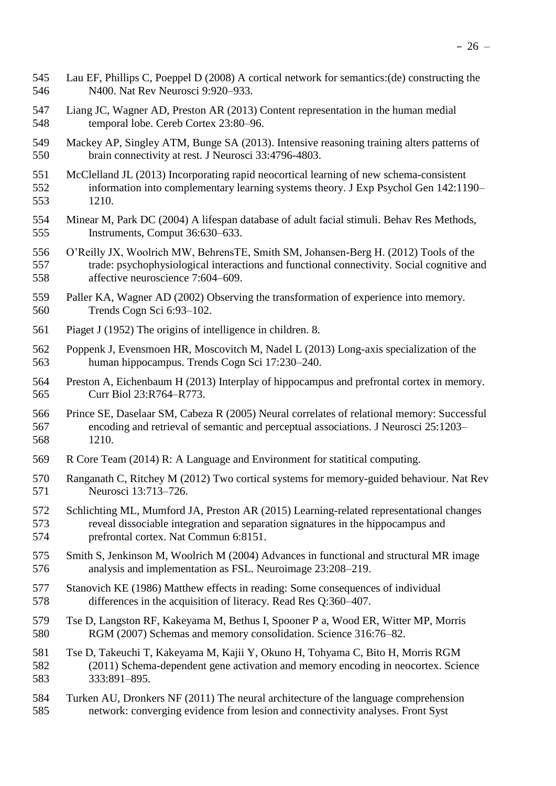- Lau EF, Phillips C, Poeppel D (2008) A cortical network for semantics:(de) constructing the N400. Nat Rev Neurosci 9:920–933.
- Liang JC, Wagner AD, Preston AR (2013) Content representation in the human medial temporal lobe. Cereb Cortex 23:80–96.
- Mackey AP, Singley ATM, Bunge SA (2013). Intensive reasoning training alters patterns of brain connectivity at rest. J Neurosci 33:4796-4803.
- McClelland JL (2013) Incorporating rapid neocortical learning of new schema-consistent information into complementary learning systems theory. J Exp Psychol Gen 142:1190– 1210.
- Minear M, Park DC (2004) A lifespan database of adult facial stimuli. Behav Res Methods, Instruments, Comput 36:630–633.
- O'Reilly JX, Woolrich MW, BehrensTE, Smith SM, Johansen-Berg H. (2012) Tools of the trade: psychophysiological interactions and functional connectivity. Social cognitive and affective neuroscience 7:604–609.
- Paller KA, Wagner AD (2002) Observing the transformation of experience into memory. Trends Cogn Sci 6:93–102.
- Piaget J (1952) The origins of intelligence in children. 8.
- Poppenk J, Evensmoen HR, Moscovitch M, Nadel L (2013) Long-axis specialization of the human hippocampus. Trends Cogn Sci 17:230–240.
- Preston A, Eichenbaum H (2013) Interplay of hippocampus and prefrontal cortex in memory. Curr Biol 23:R764–R773.
- Prince SE, Daselaar SM, Cabeza R (2005) Neural correlates of relational memory: Successful encoding and retrieval of semantic and perceptual associations. J Neurosci 25:1203– 1210.
- R Core Team (2014) R: A Language and Environment for statitical computing.
- Ranganath C, Ritchey M (2012) Two cortical systems for memory-guided behaviour. Nat Rev Neurosci 13:713–726.
- Schlichting ML, Mumford JA, Preston AR (2015) Learning-related representational changes reveal dissociable integration and separation signatures in the hippocampus and prefrontal cortex. Nat Commun 6:8151.
- Smith S, Jenkinson M, Woolrich M (2004) Advances in functional and structural MR image analysis and implementation as FSL. Neuroimage 23:208–219.
- Stanovich KE (1986) Matthew effects in reading: Some consequences of individual differences in the acquisition of literacy. Read Res Q:360–407.
- Tse D, Langston RF, Kakeyama M, Bethus I, Spooner P a, Wood ER, Witter MP, Morris RGM (2007) Schemas and memory consolidation. Science 316:76–82.
- Tse D, Takeuchi T, Kakeyama M, Kajii Y, Okuno H, Tohyama C, Bito H, Morris RGM (2011) Schema-dependent gene activation and memory encoding in neocortex. Science 333:891–895.
- Turken AU, Dronkers NF (2011) The neural architecture of the language comprehension network: converging evidence from lesion and connectivity analyses. Front Syst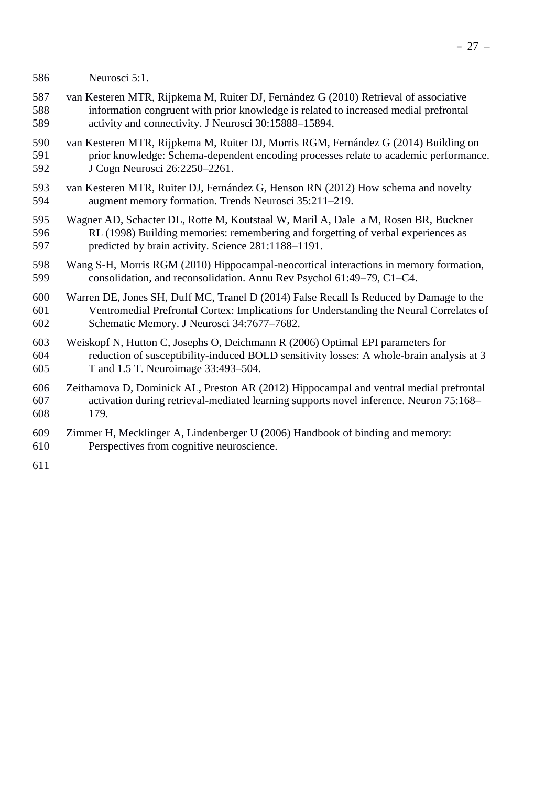- Neurosci 5:1.
- van Kesteren MTR, Rijpkema M, Ruiter DJ, Fernández G (2010) Retrieval of associative information congruent with prior knowledge is related to increased medial prefrontal activity and connectivity. J Neurosci 30:15888–15894.
- van Kesteren MTR, Rijpkema M, Ruiter DJ, Morris RGM, Fernández G (2014) Building on prior knowledge: Schema-dependent encoding processes relate to academic performance. J Cogn Neurosci 26:2250–2261.
- van Kesteren MTR, Ruiter DJ, Fernández G, Henson RN (2012) How schema and novelty augment memory formation. Trends Neurosci 35:211–219.
- Wagner AD, Schacter DL, Rotte M, Koutstaal W, Maril A, Dale a M, Rosen BR, Buckner RL (1998) Building memories: remembering and forgetting of verbal experiences as predicted by brain activity. Science 281:1188–1191.
- Wang S-H, Morris RGM (2010) Hippocampal-neocortical interactions in memory formation, consolidation, and reconsolidation. Annu Rev Psychol 61:49–79, C1–C4.
- Warren DE, Jones SH, Duff MC, Tranel D (2014) False Recall Is Reduced by Damage to the Ventromedial Prefrontal Cortex: Implications for Understanding the Neural Correlates of Schematic Memory. J Neurosci 34:7677–7682.
- Weiskopf N, Hutton C, Josephs O, Deichmann R (2006) Optimal EPI parameters for reduction of susceptibility-induced BOLD sensitivity losses: A whole-brain analysis at 3 T and 1.5 T. Neuroimage 33:493–504.
- Zeithamova D, Dominick AL, Preston AR (2012) Hippocampal and ventral medial prefrontal activation during retrieval-mediated learning supports novel inference. Neuron 75:168– 179.
- Zimmer H, Mecklinger A, Lindenberger U (2006) Handbook of binding and memory:
- Perspectives from cognitive neuroscience.
-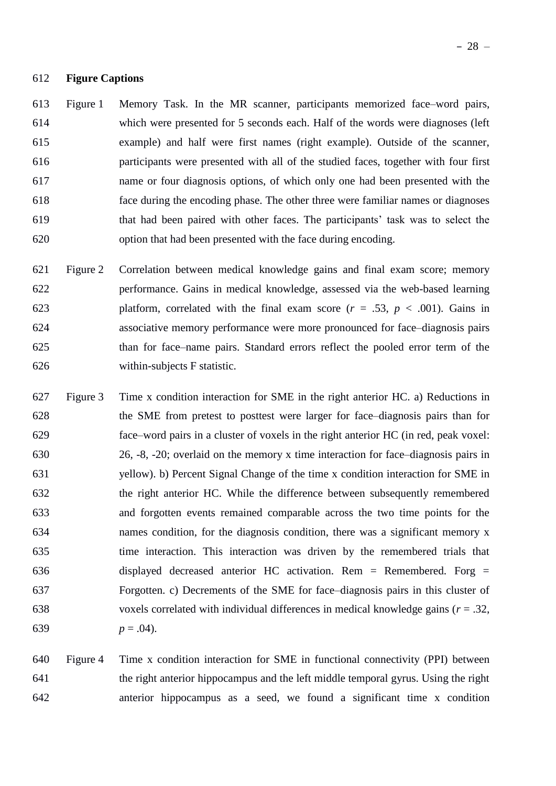### **Figure Captions**

 Figure 1 Memory Task. In the MR scanner, participants memorized face–word pairs, which were presented for 5 seconds each. Half of the words were diagnoses (left example) and half were first names (right example). Outside of the scanner, participants were presented with all of the studied faces, together with four first name or four diagnosis options, of which only one had been presented with the face during the encoding phase. The other three were familiar names or diagnoses that had been paired with other faces. The participants' task was to select the option that had been presented with the face during encoding.

- Figure 2 Correlation between medical knowledge gains and final exam score; memory performance. Gains in medical knowledge, assessed via the web-based learning platform, correlated with the final exam score (*r* = .53, *p* < .001). Gains in associative memory performance were more pronounced for face–diagnosis pairs than for face–name pairs. Standard errors reflect the pooled error term of the within-subjects F statistic.
- Figure 3 Time x condition interaction for SME in the right anterior HC. a) Reductions in the SME from pretest to posttest were larger for face–diagnosis pairs than for face–word pairs in a cluster of voxels in the right anterior HC (in red, peak voxel: 26, -8, -20; overlaid on the memory x time interaction for face–diagnosis pairs in yellow). b) Percent Signal Change of the time x condition interaction for SME in the right anterior HC. While the difference between subsequently remembered and forgotten events remained comparable across the two time points for the names condition, for the diagnosis condition, there was a significant memory x time interaction. This interaction was driven by the remembered trials that displayed decreased anterior HC activation. Rem = Remembered. Forg = Forgotten. c) Decrements of the SME for face–diagnosis pairs in this cluster of voxels correlated with individual differences in medical knowledge gains (*r* = .32, 639  $p = .04$ ).

 Figure 4 Time x condition interaction for SME in functional connectivity (PPI) between the right anterior hippocampus and the left middle temporal gyrus. Using the right anterior hippocampus as a seed, we found a significant time x condition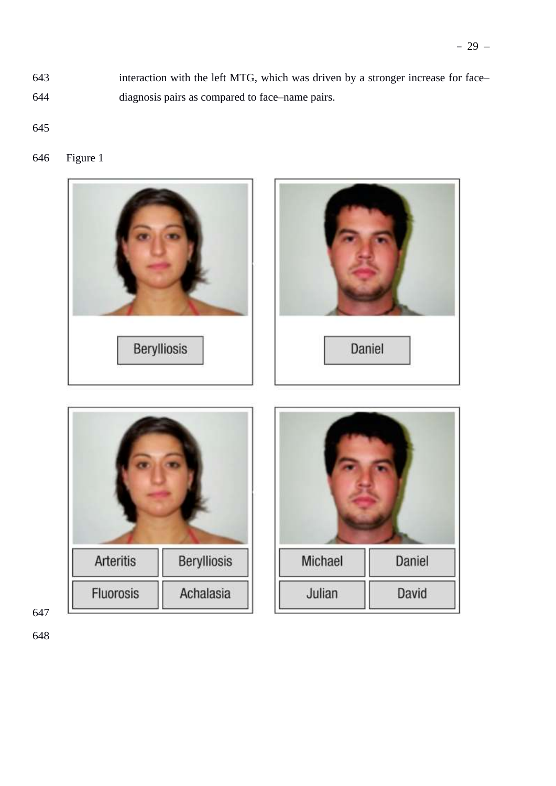interaction with the left MTG, which was driven by a stronger increase for face– diagnosis pairs as compared to face–name pairs.

Figure 1

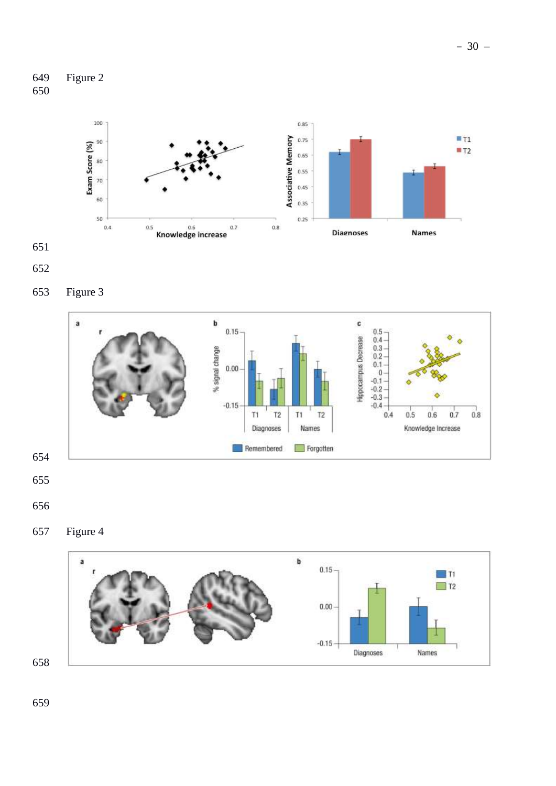







Figure 3



- 
- 
- Figure 4

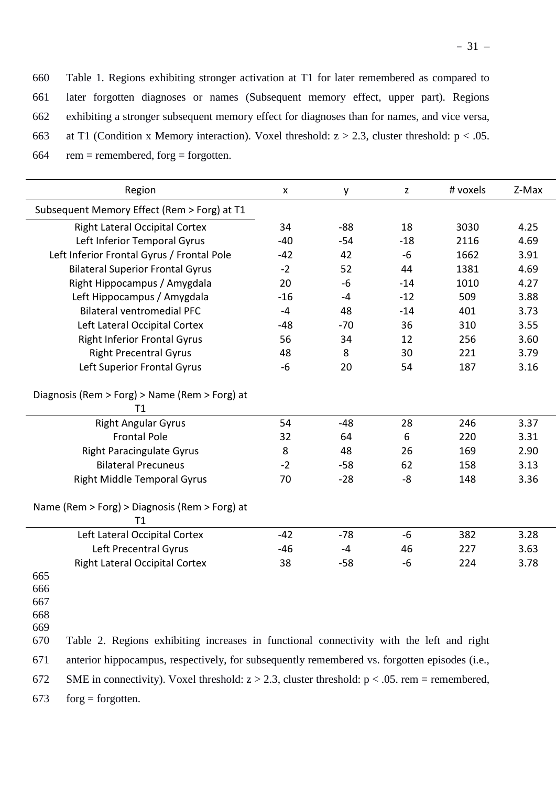Table 1. Regions exhibiting stronger activation at T1 for later remembered as compared to later forgotten diagnoses or names (Subsequent memory effect, upper part). Regions exhibiting a stronger subsequent memory effect for diagnoses than for names, and vice versa, 663 at T1 (Condition x Memory interaction). Voxel threshold:  $z > 2.3$ , cluster threshold:  $p < .05$ .

| $rem = remembered, for g = forgotten.$<br>664 |  |
|-----------------------------------------------|--|
|-----------------------------------------------|--|

| Region                                                                                                     | X     | y     | z     | # voxels | Z-Max |
|------------------------------------------------------------------------------------------------------------|-------|-------|-------|----------|-------|
| Subsequent Memory Effect (Rem > Forg) at T1                                                                |       |       |       |          |       |
| <b>Right Lateral Occipital Cortex</b>                                                                      | 34    | $-88$ | 18    | 3030     | 4.25  |
| Left Inferior Temporal Gyrus                                                                               | $-40$ | $-54$ | $-18$ | 2116     | 4.69  |
| Left Inferior Frontal Gyrus / Frontal Pole                                                                 | $-42$ | 42    | $-6$  | 1662     | 3.91  |
| <b>Bilateral Superior Frontal Gyrus</b>                                                                    | $-2$  | 52    | 44    | 1381     | 4.69  |
| Right Hippocampus / Amygdala                                                                               | 20    | -6    | $-14$ | 1010     | 4.27  |
| Left Hippocampus / Amygdala                                                                                | $-16$ | $-4$  | $-12$ | 509      | 3.88  |
| <b>Bilateral ventromedial PFC</b>                                                                          | $-4$  | 48    | $-14$ | 401      | 3.73  |
| Left Lateral Occipital Cortex                                                                              | -48   | $-70$ | 36    | 310      | 3.55  |
| <b>Right Inferior Frontal Gyrus</b>                                                                        | 56    | 34    | 12    | 256      | 3.60  |
| <b>Right Precentral Gyrus</b>                                                                              | 48    | 8     | 30    | 221      | 3.79  |
| Left Superior Frontal Gyrus                                                                                | $-6$  | 20    | 54    | 187      | 3.16  |
| Diagnosis (Rem > Forg) > Name (Rem > Forg) at<br>T1                                                        |       |       |       |          |       |
| <b>Right Angular Gyrus</b>                                                                                 | 54    | $-48$ | 28    | 246      | 3.37  |
| <b>Frontal Pole</b>                                                                                        | 32    | 64    | 6     | 220      | 3.31  |
| <b>Right Paracingulate Gyrus</b>                                                                           | 8     | 48    | 26    | 169      | 2.90  |
| <b>Bilateral Precuneus</b>                                                                                 | $-2$  | $-58$ | 62    | 158      | 3.13  |
| <b>Right Middle Temporal Gyrus</b>                                                                         | 70    | $-28$ | -8    | 148      | 3.36  |
| Name (Rem > Forg) > Diagnosis (Rem > Forg) at<br>Τ1                                                        |       |       |       |          |       |
| Left Lateral Occipital Cortex                                                                              | $-42$ | $-78$ | $-6$  | 382      | 3.28  |
| Left Precentral Gyrus                                                                                      | $-46$ | $-4$  | 46    | 227      | 3.63  |
| <b>Right Lateral Occipital Cortex</b>                                                                      | 38    | $-58$ | -6    | 224      | 3.78  |
| 665<br>666<br>667<br>668<br>669                                                                            |       |       |       |          |       |
| 670<br>Table 2. Regions exhibiting increases in functional connectivity with the left and right            |       |       |       |          |       |
| 671<br>anterior hippocampus, respectively, for subsequently remembered vs. forgotten episodes (i.e.,       |       |       |       |          |       |
| 672<br>SME in connectivity). Voxel threshold: $z > 2.3$ , cluster threshold: $p < .05$ . rem = remembered, |       |       |       |          |       |

673 forg = forgotten.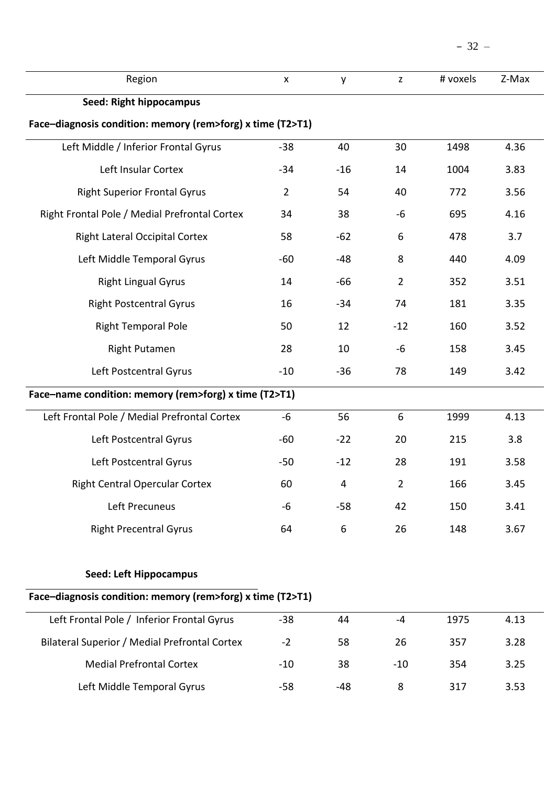| Region                                                     | $\pmb{\times}$ | y     | $\mathbf{Z}$   | # voxels | Z-Max |
|------------------------------------------------------------|----------------|-------|----------------|----------|-------|
| <b>Seed: Right hippocampus</b>                             |                |       |                |          |       |
| Face-diagnosis condition: memory (rem>forg) x time (T2>T1) |                |       |                |          |       |
| Left Middle / Inferior Frontal Gyrus                       | $-38$          | 40    | 30             | 1498     | 4.36  |
| Left Insular Cortex                                        | $-34$          | $-16$ | 14             | 1004     | 3.83  |
| <b>Right Superior Frontal Gyrus</b>                        | $\overline{2}$ | 54    | 40             | 772      | 3.56  |
| Right Frontal Pole / Medial Prefrontal Cortex              | 34             | 38    | -6             | 695      | 4.16  |
| <b>Right Lateral Occipital Cortex</b>                      | 58             | $-62$ | 6              | 478      | 3.7   |
| Left Middle Temporal Gyrus                                 | $-60$          | $-48$ | 8              | 440      | 4.09  |
| <b>Right Lingual Gyrus</b>                                 | 14             | $-66$ | $\overline{2}$ | 352      | 3.51  |
| <b>Right Postcentral Gyrus</b>                             | 16             | $-34$ | 74             | 181      | 3.35  |
| <b>Right Temporal Pole</b>                                 | 50             | 12    | $-12$          | 160      | 3.52  |
| <b>Right Putamen</b>                                       | 28             | 10    | -6             | 158      | 3.45  |
| Left Postcentral Gyrus                                     | $-10$          | $-36$ | 78             | 149      | 3.42  |
| Face-name condition: memory (rem>forg) x time (T2>T1)      |                |       |                |          |       |
| Left Frontal Pole / Medial Prefrontal Cortex               | $-6$           | 56    | 6              | 1999     | 4.13  |
| Left Postcentral Gyrus                                     | $-60$          | $-22$ | 20             | 215      | 3.8   |
| Left Postcentral Gyrus                                     | $-50$          | $-12$ | 28             | 191      | 3.58  |
| <b>Right Central Opercular Cortex</b>                      | 60             | 4     | $\overline{2}$ | 166      | 3.45  |
| Left Precuneus                                             | $-6$           | $-58$ | 42             | 150      | 3.41  |
| <b>Right Precentral Gyrus</b>                              | 64             | 6     | 26             | 148      | 3.67  |
| <b>Seed: Left Hippocampus</b>                              |                |       |                |          |       |
| Face-diagnosis condition: memory (rem>forg) x time (T2>T1) |                |       |                |          |       |
| Left Frontal Pole / Inferior Frontal Gyrus                 | $-38$          | 44    | $-4$           | 1975     | 4.13  |
| Bilateral Superior / Medial Prefrontal Cortex              | $-2$           | 58    | 26             | 357      | 3.28  |
| <b>Medial Prefrontal Cortex</b>                            | $-10$          | 38    | $-10$          | 354      | 3.25  |

Left Middle Temporal Gyrus -58 -48 8 317 3.53

– 32 –